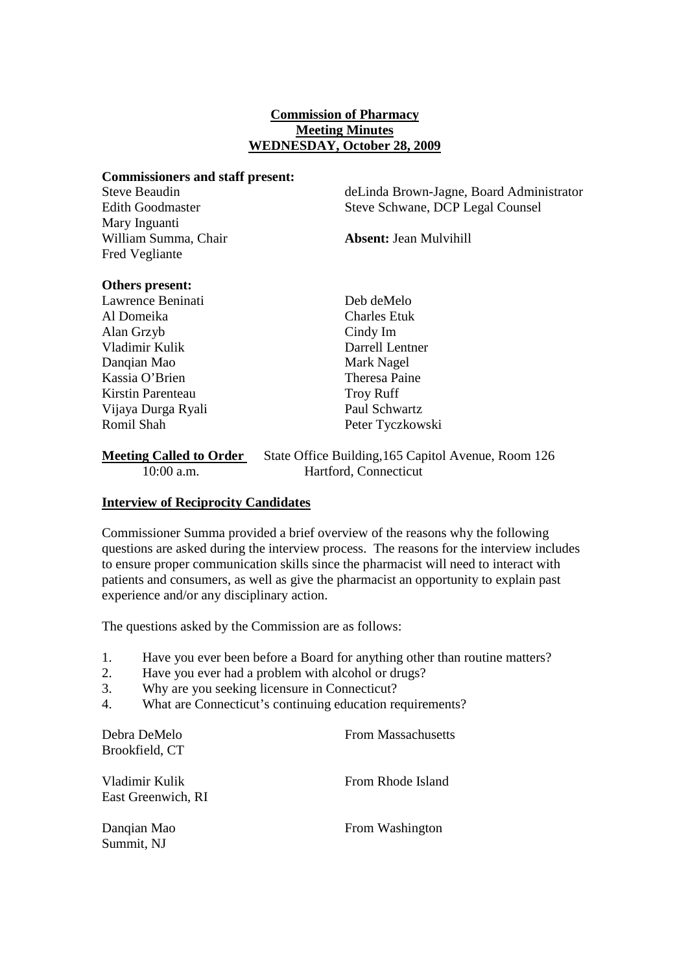### **Commission of Pharmacy Meeting Minutes WEDNESDAY, October 28, 2009**

#### **Commissioners and staff present:**

Mary Inguanti William Summa, Chair **Absent:** Jean Mulvihill Fred Vegliante

Steve Beaudin deLinda Brown-Jagne, Board Administrator Edith Goodmaster Steve Schwane, DCP Legal Counsel

#### **Others present:**

Lawrence Beninati Deb deMelo Al Domeika Charles Etuk Alan Grzyb Cindy Im Vladimir Kulik Darrell Lentner Danqian Mao Mark Nagel Kassia O'Brien Theresa Paine Kirstin Parenteau Troy Ruff Vijaya Durga Ryali Paul Schwartz Romil Shah Peter Tyczkowski

# **Meeting Called to Order** State Office Building, 165 Capitol Avenue, Room 126 10:00 a.m. Hartford, Connecticut

# **Interview of Reciprocity Candidates**

Commissioner Summa provided a brief overview of the reasons why the following questions are asked during the interview process. The reasons for the interview includes to ensure proper communication skills since the pharmacist will need to interact with patients and consumers, as well as give the pharmacist an opportunity to explain past experience and/or any disciplinary action.

The questions asked by the Commission are as follows:

- 1. Have you ever been before a Board for anything other than routine matters?
- 2. Have you ever had a problem with alcohol or drugs?
- 3. Why are you seeking licensure in Connecticut?
- 4. What are Connecticut's continuing education requirements?

| Debra DeMelo<br>Brookfield, CT       | <b>From Massachusetts</b> |
|--------------------------------------|---------------------------|
| Vladimir Kulik<br>East Greenwich, RI | From Rhode Island         |
| Danqian Mao<br>Summit, NJ            | From Washington           |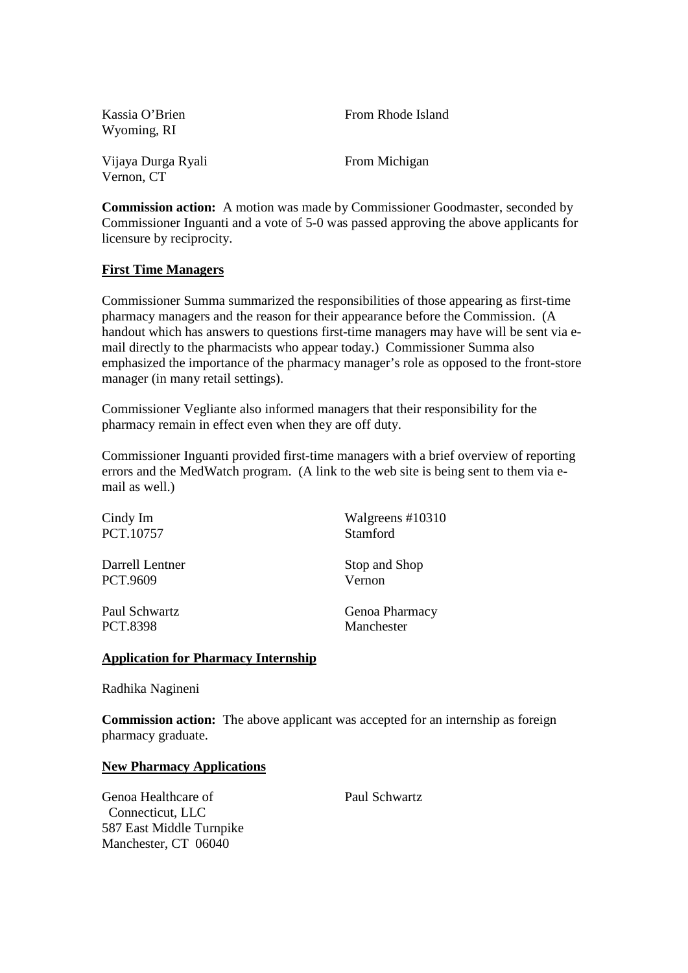| Kassia O'Brien<br>Wyoming, RI    | From Rhode Island |
|----------------------------------|-------------------|
| Vijaya Durga Ryali<br>Vernon, CT | From Michigan     |

**Commission action:** A motion was made by Commissioner Goodmaster, seconded by Commissioner Inguanti and a vote of 5-0 was passed approving the above applicants for licensure by reciprocity.

# **First Time Managers**

Commissioner Summa summarized the responsibilities of those appearing as first-time pharmacy managers and the reason for their appearance before the Commission. (A handout which has answers to questions first-time managers may have will be sent via email directly to the pharmacists who appear today.) Commissioner Summa also emphasized the importance of the pharmacy manager's role as opposed to the front-store manager (in many retail settings).

Commissioner Vegliante also informed managers that their responsibility for the pharmacy remain in effect even when they are off duty.

Commissioner Inguanti provided first-time managers with a brief overview of reporting errors and the MedWatch program. (A link to the web site is being sent to them via email as well.)

| Cindy Im        | Walgreens #10310 |
|-----------------|------------------|
| PCT.10757       | Stamford         |
| Darrell Lentner | Stop and Shop    |
| PCT.9609        | Vernon           |
| Paul Schwartz   | Genoa Pharmacy   |
| PCT.8398        | Manchester       |

# **Application for Pharmacy Internship**

Radhika Nagineni

**Commission action:** The above applicant was accepted for an internship as foreign pharmacy graduate.

# **New Pharmacy Applications**

Genoa Healthcare of Paul Schwartz Connecticut, LLC 587 East Middle Turnpike Manchester, CT 06040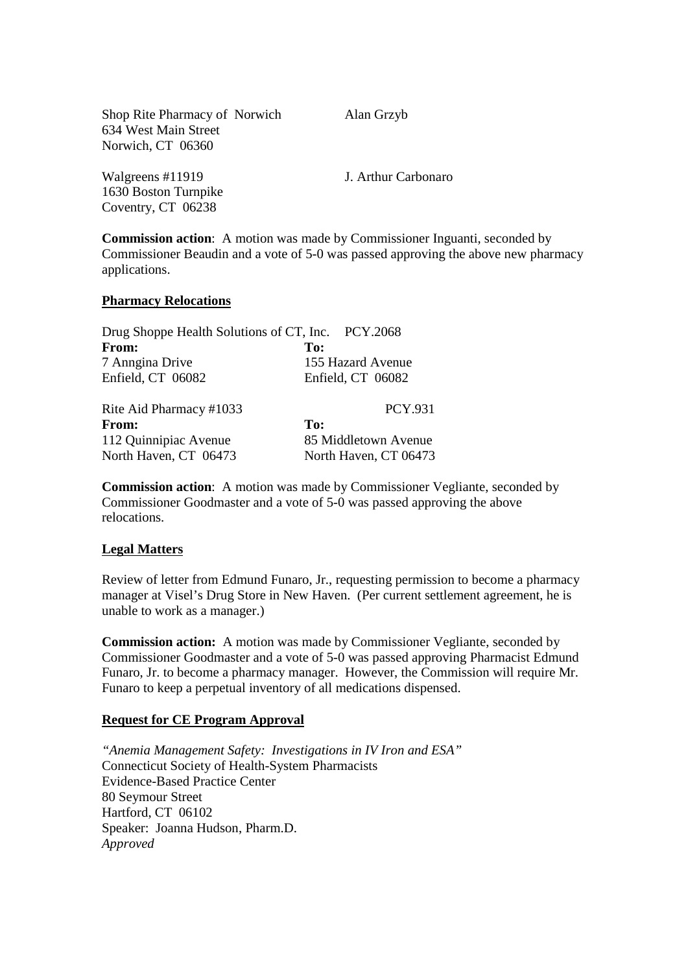Shop Rite Pharmacy of Norwich Alan Grzyb 634 West Main Street Norwich, CT 06360

Walgreens #11919 J. Arthur Carbonaro 1630 Boston Turnpike Coventry, CT 06238

**Commission action**: A motion was made by Commissioner Inguanti, seconded by Commissioner Beaudin and a vote of 5-0 was passed approving the above new pharmacy applications.

### **Pharmacy Relocations**

| Drug Shoppe Health Solutions of CT, Inc. PCY.2068 |                       |
|---------------------------------------------------|-----------------------|
| From:                                             | To:                   |
| 7 Anngina Drive                                   | 155 Hazard Avenue     |
| Enfield, CT 06082                                 | Enfield, CT 06082     |
| Rite Aid Pharmacy #1033                           | <b>PCY.931</b>        |
| From:                                             | To:                   |
| 112 Quinnipiac Avenue                             | 85 Middletown Avenue  |
| North Haven, CT 06473                             | North Haven, CT 06473 |

**Commission action**: A motion was made by Commissioner Vegliante, seconded by Commissioner Goodmaster and a vote of 5-0 was passed approving the above relocations.

# **Legal Matters**

Review of letter from Edmund Funaro, Jr., requesting permission to become a pharmacy manager at Visel's Drug Store in New Haven. (Per current settlement agreement, he is unable to work as a manager.)

**Commission action:** A motion was made by Commissioner Vegliante, seconded by Commissioner Goodmaster and a vote of 5-0 was passed approving Pharmacist Edmund Funaro, Jr. to become a pharmacy manager. However, the Commission will require Mr. Funaro to keep a perpetual inventory of all medications dispensed.

# **Request for CE Program Approval**

*"Anemia Management Safety: Investigations in IV Iron and ESA"* Connecticut Society of Health-System Pharmacists Evidence-Based Practice Center 80 Seymour Street Hartford, CT 06102 Speaker: Joanna Hudson, Pharm.D. *Approved*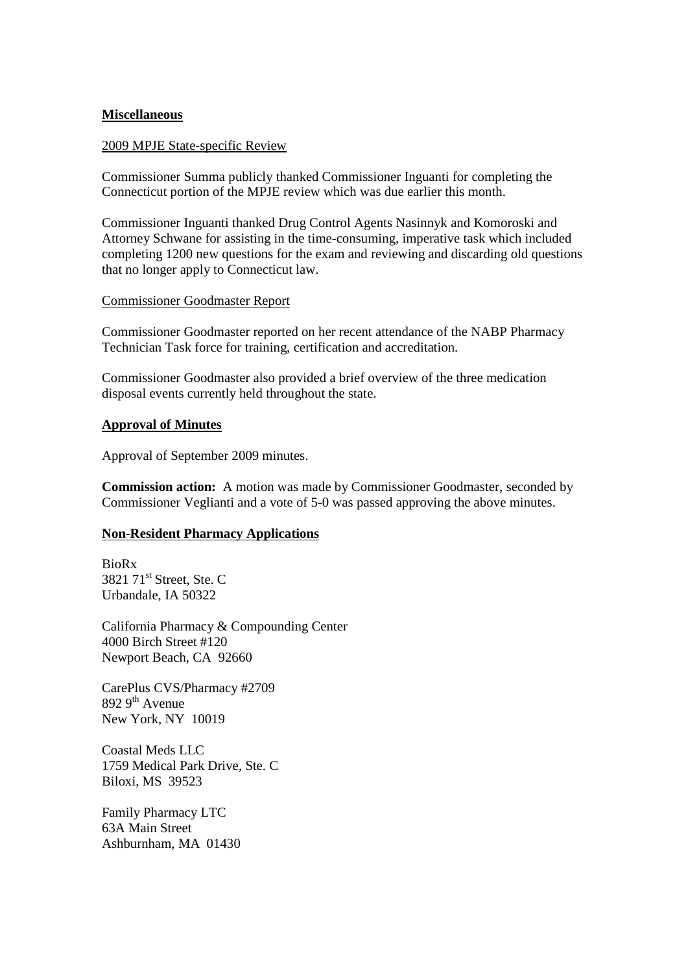### **Miscellaneous**

#### 2009 MPJE State-specific Review

Commissioner Summa publicly thanked Commissioner Inguanti for completing the Connecticut portion of the MPJE review which was due earlier this month.

Commissioner Inguanti thanked Drug Control Agents Nasinnyk and Komoroski and Attorney Schwane for assisting in the time-consuming, imperative task which included completing 1200 new questions for the exam and reviewing and discarding old questions that no longer apply to Connecticut law.

### Commissioner Goodmaster Report

Commissioner Goodmaster reported on her recent attendance of the NABP Pharmacy Technician Task force for training, certification and accreditation.

Commissioner Goodmaster also provided a brief overview of the three medication disposal events currently held throughout the state.

### **Approval of Minutes**

Approval of September 2009 minutes.

**Commission action:** A motion was made by Commissioner Goodmaster, seconded by Commissioner Veglianti and a vote of 5-0 was passed approving the above minutes.

# **Non-Resident Pharmacy Applications**

BioRx  $3821$   $71^{\text{st}}$  Street, Ste. C Urbandale, IA 50322

California Pharmacy & Compounding Center 4000 Birch Street #120 Newport Beach, CA 92660

CarePlus CVS/Pharmacy #2709  $8929<sup>th</sup>$  Avenue New York, NY 10019

Coastal Meds LLC 1759 Medical Park Drive, Ste. C Biloxi, MS 39523

Family Pharmacy LTC 63A Main Street Ashburnham, MA 01430